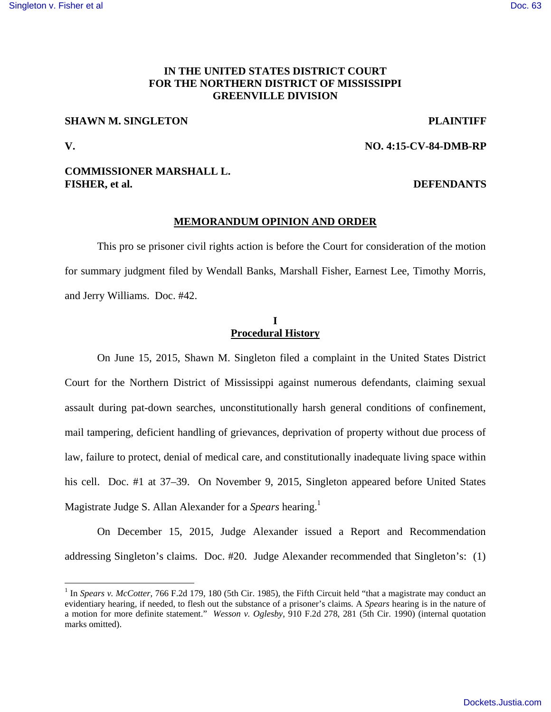# **IN THE UNITED STATES DISTRICT COURT FOR THE NORTHERN DISTRICT OF MISSISSIPPI GREENVILLE DIVISION**

## **SHAWN M. SINGLETON PLAINTIFF**

<u>.</u>

**V. NO. 4:15-CV-84-DMB-RP**

# **COMMISSIONER MARSHALL L. FISHER, et al. DEFENDANTS**

### **MEMORANDUM OPINION AND ORDER**

This pro se prisoner civil rights action is before the Court for consideration of the motion for summary judgment filed by Wendall Banks, Marshall Fisher, Earnest Lee, Timothy Morris, and Jerry Williams. Doc. #42.

# **I Procedural History**

On June 15, 2015, Shawn M. Singleton filed a complaint in the United States District Court for the Northern District of Mississippi against numerous defendants, claiming sexual assault during pat-down searches, unconstitutionally harsh general conditions of confinement, mail tampering, deficient handling of grievances, deprivation of property without due process of law, failure to protect, denial of medical care, and constitutionally inadequate living space within his cell. Doc. #1 at 37–39. On November 9, 2015, Singleton appeared before United States Magistrate Judge S. Allan Alexander for a *Spears* hearing.<sup>1</sup>

On December 15, 2015, Judge Alexander issued a Report and Recommendation addressing Singleton's claims. Doc. #20. Judge Alexander recommended that Singleton's: (1)

<sup>&</sup>lt;sup>1</sup> In *Spears v. McCotter*, 766 F.2d 179, 180 (5th Cir. 1985), the Fifth Circuit held "that a magistrate may conduct an evidentiary hearing, if needed, to flesh out the substance of a prisoner's claims. A *Spears* hearing is in the nature of a motion for more definite statement." *Wesson v. Oglesby*, 910 F.2d 278, 281 (5th Cir. 1990) (internal quotation marks omitted).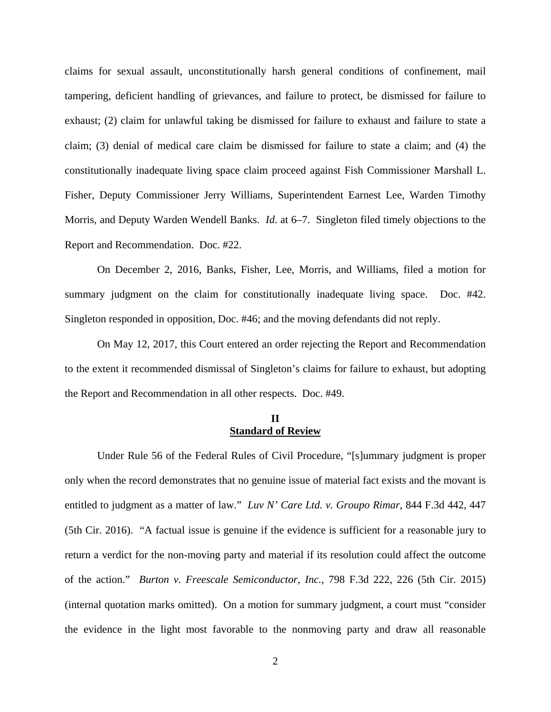claims for sexual assault, unconstitutionally harsh general conditions of confinement, mail tampering, deficient handling of grievances, and failure to protect, be dismissed for failure to exhaust; (2) claim for unlawful taking be dismissed for failure to exhaust and failure to state a claim; (3) denial of medical care claim be dismissed for failure to state a claim; and (4) the constitutionally inadequate living space claim proceed against Fish Commissioner Marshall L. Fisher, Deputy Commissioner Jerry Williams, Superintendent Earnest Lee, Warden Timothy Morris, and Deputy Warden Wendell Banks. *Id*. at 6–7. Singleton filed timely objections to the Report and Recommendation. Doc. #22.

 On December 2, 2016, Banks, Fisher, Lee, Morris, and Williams, filed a motion for summary judgment on the claim for constitutionally inadequate living space. Doc. #42. Singleton responded in opposition, Doc. #46; and the moving defendants did not reply.

 On May 12, 2017, this Court entered an order rejecting the Report and Recommendation to the extent it recommended dismissal of Singleton's claims for failure to exhaust, but adopting the Report and Recommendation in all other respects. Doc. #49.

## **II Standard of Review**

Under Rule 56 of the Federal Rules of Civil Procedure, "[s]ummary judgment is proper only when the record demonstrates that no genuine issue of material fact exists and the movant is entitled to judgment as a matter of law." *Luv N' Care Ltd. v. Groupo Rimar*, 844 F.3d 442, 447 (5th Cir. 2016). "A factual issue is genuine if the evidence is sufficient for a reasonable jury to return a verdict for the non-moving party and material if its resolution could affect the outcome of the action." *Burton v. Freescale Semiconductor, Inc.*, 798 F.3d 222, 226 (5th Cir. 2015) (internal quotation marks omitted). On a motion for summary judgment, a court must "consider the evidence in the light most favorable to the nonmoving party and draw all reasonable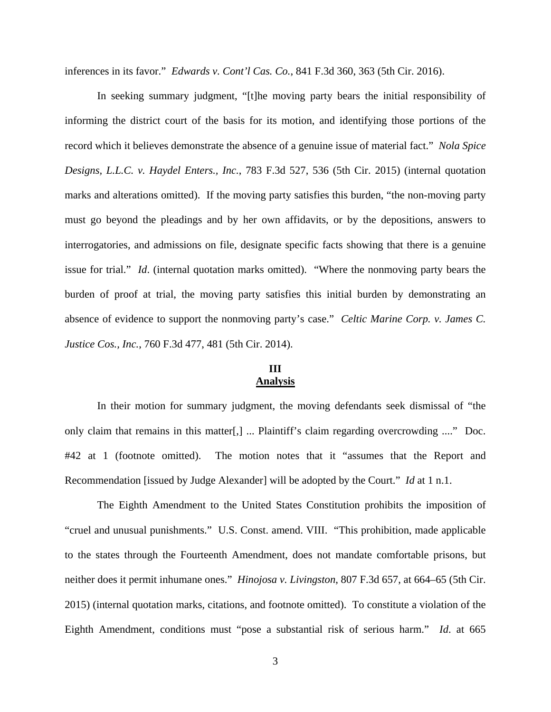inferences in its favor." *Edwards v. Cont'l Cas. Co.*, 841 F.3d 360, 363 (5th Cir. 2016).

In seeking summary judgment, "[t]he moving party bears the initial responsibility of informing the district court of the basis for its motion, and identifying those portions of the record which it believes demonstrate the absence of a genuine issue of material fact." *Nola Spice Designs, L.L.C. v. Haydel Enters., Inc.*, 783 F.3d 527, 536 (5th Cir. 2015) (internal quotation marks and alterations omitted). If the moving party satisfies this burden, "the non-moving party must go beyond the pleadings and by her own affidavits, or by the depositions, answers to interrogatories, and admissions on file, designate specific facts showing that there is a genuine issue for trial." *Id*. (internal quotation marks omitted). "Where the nonmoving party bears the burden of proof at trial, the moving party satisfies this initial burden by demonstrating an absence of evidence to support the nonmoving party's case." *Celtic Marine Corp. v. James C. Justice Cos., Inc.*, 760 F.3d 477, 481 (5th Cir. 2014).

# **III Analysis**

In their motion for summary judgment, the moving defendants seek dismissal of "the only claim that remains in this matter[,] ... Plaintiff's claim regarding overcrowding ...." Doc. #42 at 1 (footnote omitted). The motion notes that it "assumes that the Report and Recommendation [issued by Judge Alexander] will be adopted by the Court." *Id* at 1 n.1.

The Eighth Amendment to the United States Constitution prohibits the imposition of "cruel and unusual punishments." U.S. Const. amend. VIII. "This prohibition, made applicable to the states through the Fourteenth Amendment, does not mandate comfortable prisons, but neither does it permit inhumane ones." *Hinojosa v. Livingston*, 807 F.3d 657, at 664–65 (5th Cir. 2015) (internal quotation marks, citations, and footnote omitted). To constitute a violation of the Eighth Amendment, conditions must "pose a substantial risk of serious harm." *Id*. at 665